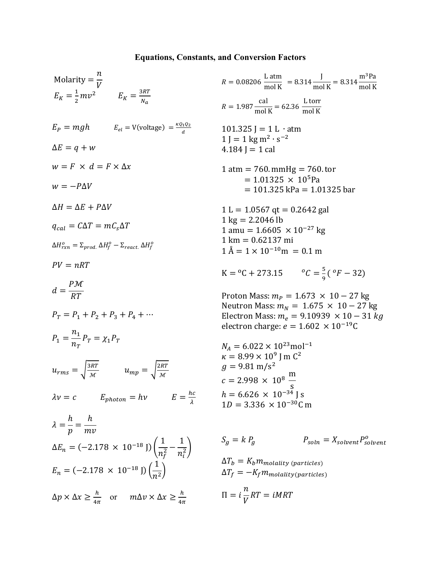## **Equations, Constants, and Conversion Factors**

m3Pa mol K

Molarity = 
$$
\frac{n}{V}
$$
  
\n $E_K = \frac{1}{2}mv^2$   $E_K = \frac{3RT}{Na}$   
\n $E_P = mgh$   $E_{el} = V(\text{voltage}) = \frac{\kappa_0 \cdot \Omega_2}{a}$   
\n $E_P = mgh$   $E_{el} = V(\text{voltage}) = \frac{\kappa_0 \cdot \Omega_2}{a}$   
\n $E_P = mgh$   $E_{el} = V(\text{voltage}) = \frac{\kappa_0 \cdot \Omega_2}{a}$   
\n $\Delta E = q + w$   
\n $\Delta E = q + w$   
\n $\Delta E = q + w$   
\n $\Delta E = \Delta E + P \Delta V$   
\n $\Delta E = 0.1325 \text{ J} - 11 \text{ atm}$   
\n $\Delta E = 11.1325 \text{ kg m}^2 \cdot \text{s}^{-2}$   
\n $\Delta H = \Delta E + P \Delta V$   
\n $\Delta H = \Delta E + P \Delta V$   
\n $\Delta H = \Delta E + P \Delta V$   
\n $\Delta H = 101.325 \text{ kg m} = 1.01325 \text{ bar}$   
\n $\Delta H_{\gamma x} = \Sigma_{\gamma r \nu d} \Delta H_1^{\alpha} - \Sigma_{\gamma \nu \alpha c \Delta} \Delta H_1^{\alpha}$   
\n $\Delta H_{\gamma x}^{\alpha} = \Sigma_{\gamma r \nu d} \Delta H_1^{\alpha} - \Sigma_{\gamma \nu \alpha c \Delta} \Delta H_1^{\alpha}$   
\n $\Delta H_{\gamma x}^{\alpha} = 101.325 \text{ km}$   
\n $\Delta H_{\gamma x}^{\alpha} = \Sigma_{\gamma r \nu d} \Delta H_1^{\alpha} - \Sigma_{\gamma \nu \alpha c \Delta} \Delta H_1^{\alpha}$   
\n $\Delta H_{\gamma x}^{\alpha} = \Sigma_{\gamma r \nu d} \Delta H_1^{\alpha} - \Sigma_{\gamma \nu \alpha c \Delta} \Delta H_1^{\alpha}$   
\n $\Delta H_{\gamma x}^{\alpha} = \Sigma_{\gamma r \nu d} \Delta H_1^{\alpha} - \Sigma_{\gamma \nu \alpha c \Delta} \Delta H_1^{\alpha}$   
\n $\$